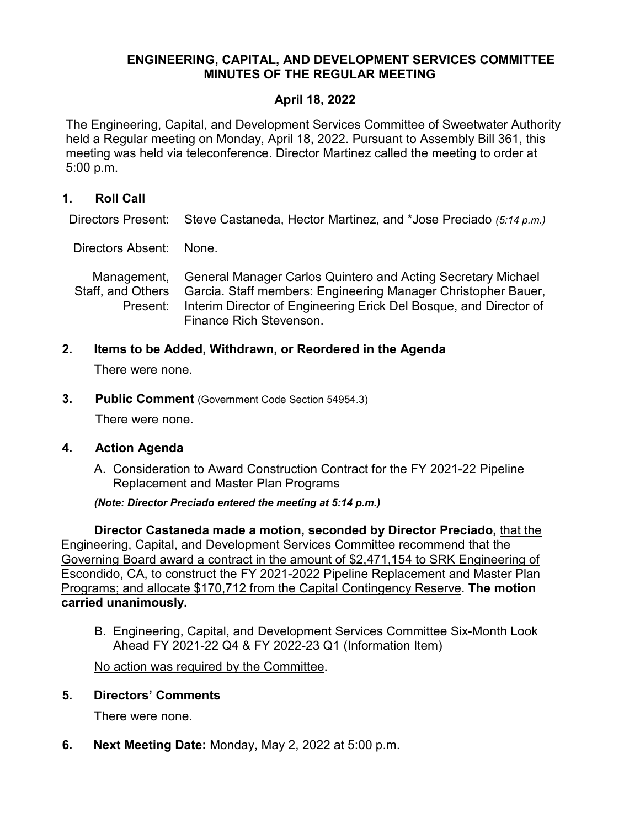## **ENGINEERING, CAPITAL, AND DEVELOPMENT SERVICES COMMITTEE MINUTES OF THE REGULAR MEETING**

## **April 18, 2022**

The Engineering, Capital, and Development Services Committee of Sweetwater Authority held a Regular meeting on Monday, April 18, 2022. Pursuant to Assembly Bill 361, this meeting was held via teleconference. Director Martinez called the meeting to order at 5:00 p.m.

## **1. Roll Call**

Directors Present: Steve Castaneda, Hector Martinez, and \*Jose Preciado *(5:14 p.m.)*

Directors Absent: None.

Management, Staff, and Others Present: General Manager Carlos Quintero and Acting Secretary Michael Garcia. Staff members: Engineering Manager Christopher Bauer, Interim Director of Engineering Erick Del Bosque, and Director of Finance Rich Stevenson.

**2. Items to be Added, Withdrawn, or Reordered in the Agenda**

There were none.

**3. Public Comment** (Government Code Section 54954.3)

There were none.

#### **4. Action Agenda**

A. Consideration to Award Construction Contract for the FY 2021-22 Pipeline Replacement and Master Plan Programs

*(Note: Director Preciado entered the meeting at 5:14 p.m.)*

**Director Castaneda made a motion, seconded by Director Preciado,** that the Engineering, Capital, and Development Services Committee recommend that the Governing Board award a contract in the amount of \$2,471,154 to SRK Engineering of Escondido, CA, to construct the FY 2021-2022 Pipeline Replacement and Master Plan Programs; and allocate \$170,712 from the Capital Contingency Reserve. **The motion carried unanimously.**

B. Engineering, Capital, and Development Services Committee Six-Month Look Ahead FY 2021-22 Q4 & FY 2022-23 Q1 (Information Item)

No action was required by the Committee.

#### **5. Directors' Comments**

There were none.

**6. Next Meeting Date:** Monday, May 2, 2022 at 5:00 p.m.